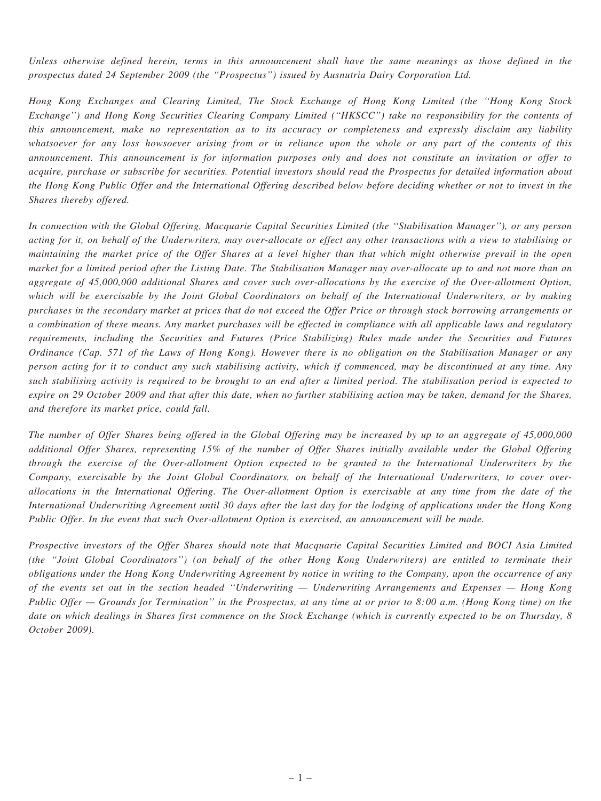Unless otherwise defined herein, terms in this announcement shall have the same meanings as those defined in the prospectus dated 24 September 2009 (the ''Prospectus'') issued by Ausnutria Dairy Corporation Ltd.

Hong Kong Exchanges and Clearing Limited, The Stock Exchange of Hong Kong Limited (the ''Hong Kong Stock Exchange'') and Hong Kong Securities Clearing Company Limited (''HKSCC'') take no responsibility for the contents of this announcement, make no representation as to its accuracy or completeness and expressly disclaim any liability whatsoever for any loss howsoever arising from or in reliance upon the whole or any part of the contents of this announcement. This announcement is for information purposes only and does not constitute an invitation or offer to acquire, purchase or subscribe for securities. Potential investors should read the Prospectus for detailed information about the Hong Kong Public Offer and the International Offering described below before deciding whether or not to invest in the Shares thereby offered.

In connection with the Global Offering, Macquarie Capital Securities Limited (the ''Stabilisation Manager''), or any person acting for it, on behalf of the Underwriters, may over-allocate or effect any other transactions with a view to stabilising or maintaining the market price of the Offer Shares at a level higher than that which might otherwise prevail in the open market for a limited period after the Listing Date. The Stabilisation Manager may over-allocate up to and not more than an aggregate of 45,000,000 additional Shares and cover such over-allocations by the exercise of the Over-allotment Option, which will be exercisable by the Joint Global Coordinators on behalf of the International Underwriters, or by making purchases in the secondary market at prices that do not exceed the Offer Price or through stock borrowing arrangements or a combination of these means. Any market purchases will be effected in compliance with all applicable laws and regulatory requirements, including the Securities and Futures (Price Stabilizing) Rules made under the Securities and Futures Ordinance (Cap. 571 of the Laws of Hong Kong). However there is no obligation on the Stabilisation Manager or any person acting for it to conduct any such stabilising activity, which if commenced, may be discontinued at any time. Any such stabilising activity is required to be brought to an end after a limited period. The stabilisation period is expected to expire on 29 October 2009 and that after this date, when no further stabilising action may be taken, demand for the Shares, and therefore its market price, could fall.

The number of Offer Shares being offered in the Global Offering may be increased by up to an aggregate of 45,000,000 additional Offer Shares, representing 15% of the number of Offer Shares initially available under the Global Offering through the exercise of the Over-allotment Option expected to be granted to the International Underwriters by the Company, exercisable by the Joint Global Coordinators, on behalf of the International Underwriters, to cover overallocations in the International Offering. The Over-allotment Option is exercisable at any time from the date of the International Underwriting Agreement until 30 days after the last day for the lodging of applications under the Hong Kong Public Offer. In the event that such Over-allotment Option is exercised, an announcement will be made.

Prospective investors of the Offer Shares should note that Macquarie Capital Securities Limited and BOCI Asia Limited (the ''Joint Global Coordinators'') (on behalf of the other Hong Kong Underwriters) are entitled to terminate their obligations under the Hong Kong Underwriting Agreement by notice in writing to the Company, upon the occurrence of any of the events set out in the section headed ''Underwriting — Underwriting Arrangements and Expenses — Hong Kong Public Offer — Grounds for Termination" in the Prospectus, at any time at or prior to 8:00 a.m. (Hong Kong time) on the date on which dealings in Shares first commence on the Stock Exchange (which is currently expected to be on Thursday, 8 October 2009).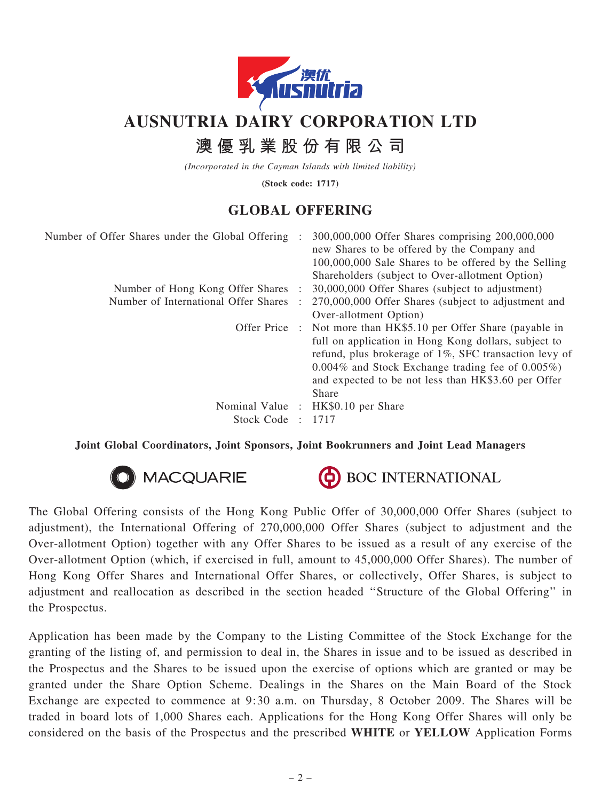

# AUSNUTRIA DAIRY CORPORATION LTD

# 澳 優 乳 業 股 份 有 限 公 司

(Incorporated in the Cayman Islands with limited liability)

(Stock code: 1717)

## GLOBAL OFFERING

| Number of Offer Shares under the Global Offering: | 300,000,000 Offer Shares comprising 200,000,000<br>new Shares to be offered by the Company and<br>100,000,000 Sale Shares to be offered by the Selling<br>Shareholders (subject to Over-allotment Option)                                |
|---------------------------------------------------|------------------------------------------------------------------------------------------------------------------------------------------------------------------------------------------------------------------------------------------|
| Number of Hong Kong Offer Shares :                | 30,000,000 Offer Shares (subject to adjustment)                                                                                                                                                                                          |
| Number of International Offer Shares              | 270,000,000 Offer Shares (subject to adjustment and                                                                                                                                                                                      |
|                                                   | Over-allotment Option)                                                                                                                                                                                                                   |
|                                                   | Offer Price : Not more than HK\$5.10 per Offer Share (payable in                                                                                                                                                                         |
|                                                   | full on application in Hong Kong dollars, subject to<br>refund, plus brokerage of 1%, SFC transaction levy of<br>$0.004\%$ and Stock Exchange trading fee of $0.005\%$ )<br>and expected to be not less than HK\$3.60 per Offer<br>Share |
|                                                   | Nominal Value : HK\$0.10 per Share                                                                                                                                                                                                       |
| Stock Code                                        | 1717                                                                                                                                                                                                                                     |
|                                                   |                                                                                                                                                                                                                                          |

#### Joint Global Coordinators, Joint Sponsors, Joint Bookrunners and Joint Lead Managers





The Global Offering consists of the Hong Kong Public Offer of 30,000,000 Offer Shares (subject to adjustment), the International Offering of 270,000,000 Offer Shares (subject to adjustment and the Over-allotment Option) together with any Offer Shares to be issued as a result of any exercise of the Over-allotment Option (which, if exercised in full, amount to 45,000,000 Offer Shares). The number of Hong Kong Offer Shares and International Offer Shares, or collectively, Offer Shares, is subject to adjustment and reallocation as described in the section headed ''Structure of the Global Offering'' in the Prospectus.

Application has been made by the Company to the Listing Committee of the Stock Exchange for the granting of the listing of, and permission to deal in, the Shares in issue and to be issued as described in the Prospectus and the Shares to be issued upon the exercise of options which are granted or may be granted under the Share Option Scheme. Dealings in the Shares on the Main Board of the Stock Exchange are expected to commence at 9:30 a.m. on Thursday, 8 October 2009. The Shares will be traded in board lots of 1,000 Shares each. Applications for the Hong Kong Offer Shares will only be considered on the basis of the Prospectus and the prescribed WHITE or YELLOW Application Forms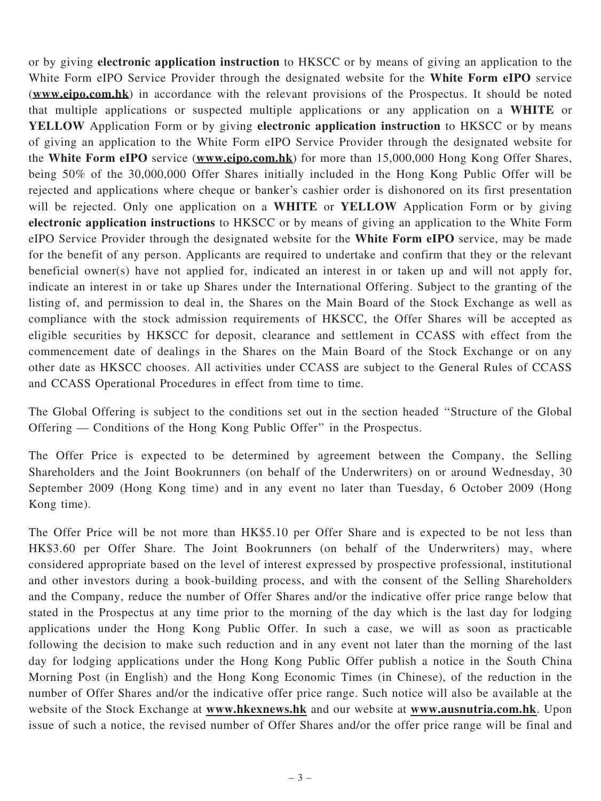or by giving electronic application instruction to HKSCC or by means of giving an application to the White Form eIPO Service Provider through the designated website for the White Form eIPO service (www.eipo.com.hk) in accordance with the relevant provisions of the Prospectus. It should be noted that multiple applications or suspected multiple applications or any application on a WHITE or YELLOW Application Form or by giving electronic application instruction to HKSCC or by means of giving an application to the White Form eIPO Service Provider through the designated website for the White Form eIPO service (www.eipo.com.hk) for more than 15,000,000 Hong Kong Offer Shares, being 50% of the 30,000,000 Offer Shares initially included in the Hong Kong Public Offer will be rejected and applications where cheque or banker's cashier order is dishonored on its first presentation will be rejected. Only one application on a WHITE or YELLOW Application Form or by giving electronic application instructions to HKSCC or by means of giving an application to the White Form eIPO Service Provider through the designated website for the White Form eIPO service, may be made for the benefit of any person. Applicants are required to undertake and confirm that they or the relevant beneficial owner(s) have not applied for, indicated an interest in or taken up and will not apply for, indicate an interest in or take up Shares under the International Offering. Subject to the granting of the listing of, and permission to deal in, the Shares on the Main Board of the Stock Exchange as well as compliance with the stock admission requirements of HKSCC, the Offer Shares will be accepted as eligible securities by HKSCC for deposit, clearance and settlement in CCASS with effect from the commencement date of dealings in the Shares on the Main Board of the Stock Exchange or on any other date as HKSCC chooses. All activities under CCASS are subject to the General Rules of CCASS and CCASS Operational Procedures in effect from time to time.

The Global Offering is subject to the conditions set out in the section headed ''Structure of the Global Offering — Conditions of the Hong Kong Public Offer'' in the Prospectus.

The Offer Price is expected to be determined by agreement between the Company, the Selling Shareholders and the Joint Bookrunners (on behalf of the Underwriters) on or around Wednesday, 30 September 2009 (Hong Kong time) and in any event no later than Tuesday, 6 October 2009 (Hong Kong time).

The Offer Price will be not more than HK\$5.10 per Offer Share and is expected to be not less than HK\$3.60 per Offer Share. The Joint Bookrunners (on behalf of the Underwriters) may, where considered appropriate based on the level of interest expressed by prospective professional, institutional and other investors during a book-building process, and with the consent of the Selling Shareholders and the Company, reduce the number of Offer Shares and/or the indicative offer price range below that stated in the Prospectus at any time prior to the morning of the day which is the last day for lodging applications under the Hong Kong Public Offer. In such a case, we will as soon as practicable following the decision to make such reduction and in any event not later than the morning of the last day for lodging applications under the Hong Kong Public Offer publish a notice in the South China Morning Post (in English) and the Hong Kong Economic Times (in Chinese), of the reduction in the number of Offer Shares and/or the indicative offer price range. Such notice will also be available at the website of the Stock Exchange at www.hkexnews.hk and our website at www.ausnutria.com.hk. Upon issue of such a notice, the revised number of Offer Shares and/or the offer price range will be final and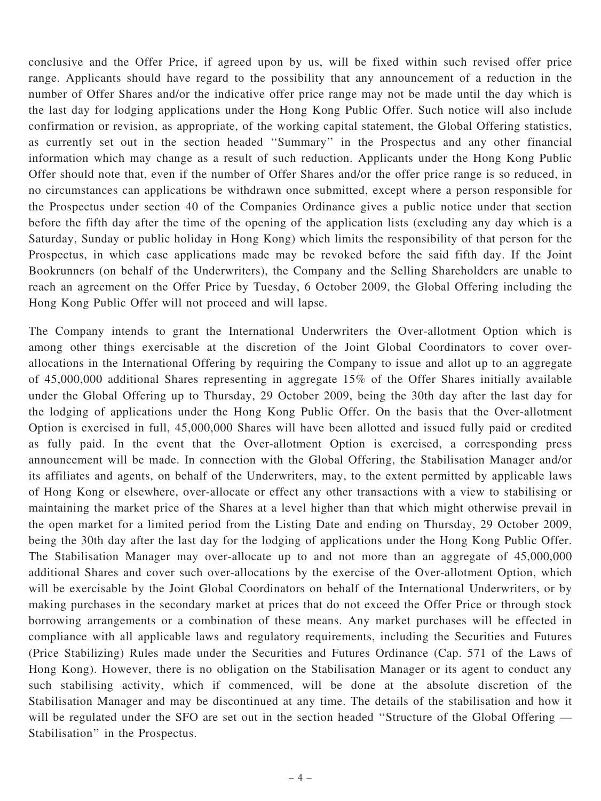conclusive and the Offer Price, if agreed upon by us, will be fixed within such revised offer price range. Applicants should have regard to the possibility that any announcement of a reduction in the number of Offer Shares and/or the indicative offer price range may not be made until the day which is the last day for lodging applications under the Hong Kong Public Offer. Such notice will also include confirmation or revision, as appropriate, of the working capital statement, the Global Offering statistics, as currently set out in the section headed ''Summary'' in the Prospectus and any other financial information which may change as a result of such reduction. Applicants under the Hong Kong Public Offer should note that, even if the number of Offer Shares and/or the offer price range is so reduced, in no circumstances can applications be withdrawn once submitted, except where a person responsible for the Prospectus under section 40 of the Companies Ordinance gives a public notice under that section before the fifth day after the time of the opening of the application lists (excluding any day which is a Saturday, Sunday or public holiday in Hong Kong) which limits the responsibility of that person for the Prospectus, in which case applications made may be revoked before the said fifth day. If the Joint Bookrunners (on behalf of the Underwriters), the Company and the Selling Shareholders are unable to reach an agreement on the Offer Price by Tuesday, 6 October 2009, the Global Offering including the Hong Kong Public Offer will not proceed and will lapse.

The Company intends to grant the International Underwriters the Over-allotment Option which is among other things exercisable at the discretion of the Joint Global Coordinators to cover overallocations in the International Offering by requiring the Company to issue and allot up to an aggregate of 45,000,000 additional Shares representing in aggregate 15% of the Offer Shares initially available under the Global Offering up to Thursday, 29 October 2009, being the 30th day after the last day for the lodging of applications under the Hong Kong Public Offer. On the basis that the Over-allotment Option is exercised in full, 45,000,000 Shares will have been allotted and issued fully paid or credited as fully paid. In the event that the Over-allotment Option is exercised, a corresponding press announcement will be made. In connection with the Global Offering, the Stabilisation Manager and/or its affiliates and agents, on behalf of the Underwriters, may, to the extent permitted by applicable laws of Hong Kong or elsewhere, over-allocate or effect any other transactions with a view to stabilising or maintaining the market price of the Shares at a level higher than that which might otherwise prevail in the open market for a limited period from the Listing Date and ending on Thursday, 29 October 2009, being the 30th day after the last day for the lodging of applications under the Hong Kong Public Offer. The Stabilisation Manager may over-allocate up to and not more than an aggregate of 45,000,000 additional Shares and cover such over-allocations by the exercise of the Over-allotment Option, which will be exercisable by the Joint Global Coordinators on behalf of the International Underwriters, or by making purchases in the secondary market at prices that do not exceed the Offer Price or through stock borrowing arrangements or a combination of these means. Any market purchases will be effected in compliance with all applicable laws and regulatory requirements, including the Securities and Futures (Price Stabilizing) Rules made under the Securities and Futures Ordinance (Cap. 571 of the Laws of Hong Kong). However, there is no obligation on the Stabilisation Manager or its agent to conduct any such stabilising activity, which if commenced, will be done at the absolute discretion of the Stabilisation Manager and may be discontinued at any time. The details of the stabilisation and how it will be regulated under the SFO are set out in the section headed "Structure of the Global Offering — Stabilisation'' in the Prospectus.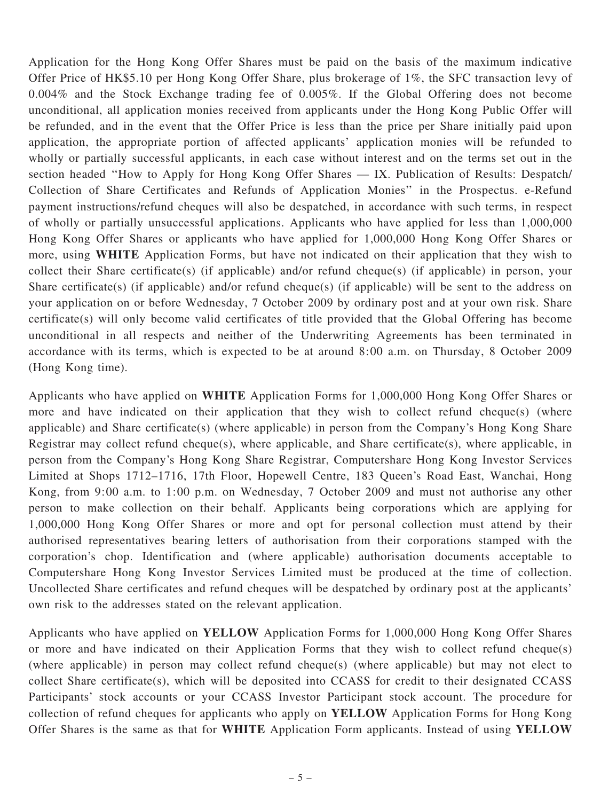Application for the Hong Kong Offer Shares must be paid on the basis of the maximum indicative Offer Price of HK\$5.10 per Hong Kong Offer Share, plus brokerage of 1%, the SFC transaction levy of 0.004% and the Stock Exchange trading fee of 0.005%. If the Global Offering does not become unconditional, all application monies received from applicants under the Hong Kong Public Offer will be refunded, and in the event that the Offer Price is less than the price per Share initially paid upon application, the appropriate portion of affected applicants' application monies will be refunded to wholly or partially successful applicants, in each case without interest and on the terms set out in the section headed ''How to Apply for Hong Kong Offer Shares — IX. Publication of Results: Despatch/ Collection of Share Certificates and Refunds of Application Monies'' in the Prospectus. e-Refund payment instructions/refund cheques will also be despatched, in accordance with such terms, in respect of wholly or partially unsuccessful applications. Applicants who have applied for less than 1,000,000 Hong Kong Offer Shares or applicants who have applied for 1,000,000 Hong Kong Offer Shares or more, using WHITE Application Forms, but have not indicated on their application that they wish to collect their Share certificate(s) (if applicable) and/or refund cheque(s) (if applicable) in person, your Share certificate(s) (if applicable) and/or refund cheque(s) (if applicable) will be sent to the address on your application on or before Wednesday, 7 October 2009 by ordinary post and at your own risk. Share certificate(s) will only become valid certificates of title provided that the Global Offering has become unconditional in all respects and neither of the Underwriting Agreements has been terminated in accordance with its terms, which is expected to be at around 8:00 a.m. on Thursday, 8 October 2009 (Hong Kong time).

Applicants who have applied on WHITE Application Forms for 1,000,000 Hong Kong Offer Shares or more and have indicated on their application that they wish to collect refund cheque(s) (where applicable) and Share certificate(s) (where applicable) in person from the Company's Hong Kong Share Registrar may collect refund cheque(s), where applicable, and Share certificate(s), where applicable, in person from the Company's Hong Kong Share Registrar, Computershare Hong Kong Investor Services Limited at Shops 1712–1716, 17th Floor, Hopewell Centre, 183 Queen's Road East, Wanchai, Hong Kong, from 9:00 a.m. to 1:00 p.m. on Wednesday, 7 October 2009 and must not authorise any other person to make collection on their behalf. Applicants being corporations which are applying for 1,000,000 Hong Kong Offer Shares or more and opt for personal collection must attend by their authorised representatives bearing letters of authorisation from their corporations stamped with the corporation's chop. Identification and (where applicable) authorisation documents acceptable to Computershare Hong Kong Investor Services Limited must be produced at the time of collection. Uncollected Share certificates and refund cheques will be despatched by ordinary post at the applicants' own risk to the addresses stated on the relevant application.

Applicants who have applied on YELLOW Application Forms for 1,000,000 Hong Kong Offer Shares or more and have indicated on their Application Forms that they wish to collect refund cheque(s) (where applicable) in person may collect refund cheque(s) (where applicable) but may not elect to collect Share certificate(s), which will be deposited into CCASS for credit to their designated CCASS Participants' stock accounts or your CCASS Investor Participant stock account. The procedure for collection of refund cheques for applicants who apply on YELLOW Application Forms for Hong Kong Offer Shares is the same as that for WHITE Application Form applicants. Instead of using YELLOW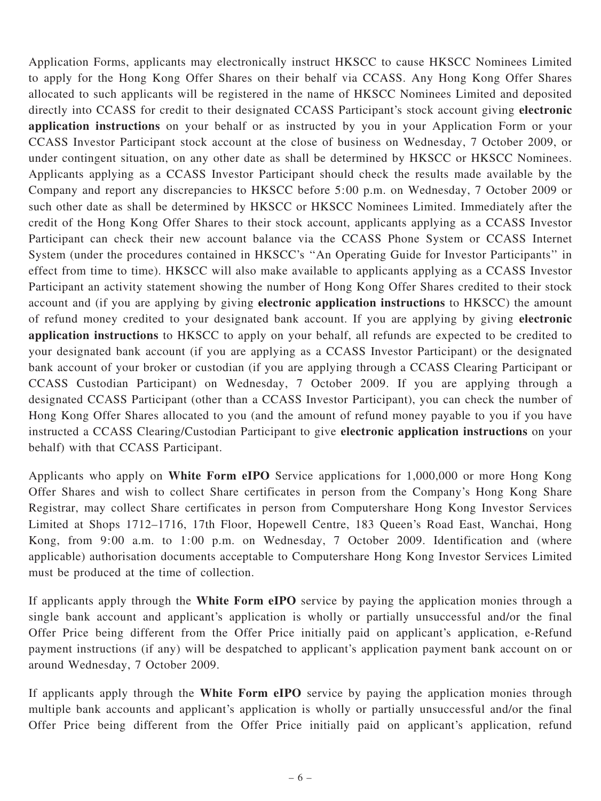Application Forms, applicants may electronically instruct HKSCC to cause HKSCC Nominees Limited to apply for the Hong Kong Offer Shares on their behalf via CCASS. Any Hong Kong Offer Shares allocated to such applicants will be registered in the name of HKSCC Nominees Limited and deposited directly into CCASS for credit to their designated CCASS Participant's stock account giving electronic application instructions on your behalf or as instructed by you in your Application Form or your CCASS Investor Participant stock account at the close of business on Wednesday, 7 October 2009, or under contingent situation, on any other date as shall be determined by HKSCC or HKSCC Nominees. Applicants applying as a CCASS Investor Participant should check the results made available by the Company and report any discrepancies to HKSCC before 5:00 p.m. on Wednesday, 7 October 2009 or such other date as shall be determined by HKSCC or HKSCC Nominees Limited. Immediately after the credit of the Hong Kong Offer Shares to their stock account, applicants applying as a CCASS Investor Participant can check their new account balance via the CCASS Phone System or CCASS Internet System (under the procedures contained in HKSCC's ''An Operating Guide for Investor Participants'' in effect from time to time). HKSCC will also make available to applicants applying as a CCASS Investor Participant an activity statement showing the number of Hong Kong Offer Shares credited to their stock account and (if you are applying by giving electronic application instructions to HKSCC) the amount of refund money credited to your designated bank account. If you are applying by giving electronic application instructions to HKSCC to apply on your behalf, all refunds are expected to be credited to your designated bank account (if you are applying as a CCASS Investor Participant) or the designated bank account of your broker or custodian (if you are applying through a CCASS Clearing Participant or CCASS Custodian Participant) on Wednesday, 7 October 2009. If you are applying through a designated CCASS Participant (other than a CCASS Investor Participant), you can check the number of Hong Kong Offer Shares allocated to you (and the amount of refund money payable to you if you have instructed a CCASS Clearing/Custodian Participant to give electronic application instructions on your behalf) with that CCASS Participant.

Applicants who apply on White Form eIPO Service applications for 1,000,000 or more Hong Kong Offer Shares and wish to collect Share certificates in person from the Company's Hong Kong Share Registrar, may collect Share certificates in person from Computershare Hong Kong Investor Services Limited at Shops 1712–1716, 17th Floor, Hopewell Centre, 183 Queen's Road East, Wanchai, Hong Kong, from 9:00 a.m. to 1:00 p.m. on Wednesday, 7 October 2009. Identification and (where applicable) authorisation documents acceptable to Computershare Hong Kong Investor Services Limited must be produced at the time of collection.

If applicants apply through the White Form eIPO service by paying the application monies through a single bank account and applicant's application is wholly or partially unsuccessful and/or the final Offer Price being different from the Offer Price initially paid on applicant's application, e-Refund payment instructions (if any) will be despatched to applicant's application payment bank account on or around Wednesday, 7 October 2009.

If applicants apply through the White Form eIPO service by paying the application monies through multiple bank accounts and applicant's application is wholly or partially unsuccessful and/or the final Offer Price being different from the Offer Price initially paid on applicant's application, refund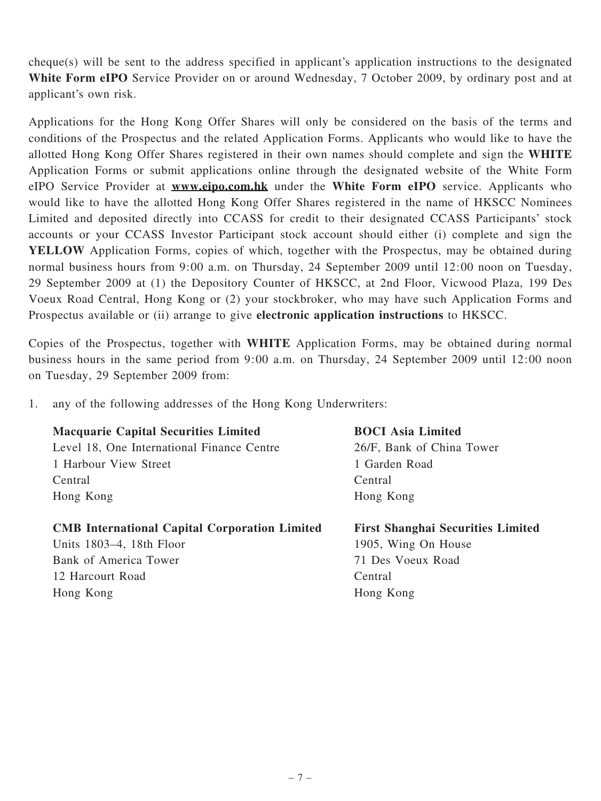cheque(s) will be sent to the address specified in applicant's application instructions to the designated White Form eIPO Service Provider on or around Wednesday, 7 October 2009, by ordinary post and at applicant's own risk.

Applications for the Hong Kong Offer Shares will only be considered on the basis of the terms and conditions of the Prospectus and the related Application Forms. Applicants who would like to have the allotted Hong Kong Offer Shares registered in their own names should complete and sign the WHITE Application Forms or submit applications online through the designated website of the White Form eIPO Service Provider at **www.eipo.com.hk** under the White Form eIPO service. Applicants who would like to have the allotted Hong Kong Offer Shares registered in the name of HKSCC Nominees Limited and deposited directly into CCASS for credit to their designated CCASS Participants' stock accounts or your CCASS Investor Participant stock account should either (i) complete and sign the YELLOW Application Forms, copies of which, together with the Prospectus, may be obtained during normal business hours from 9:00 a.m. on Thursday, 24 September 2009 until 12:00 noon on Tuesday, 29 September 2009 at (1) the Depository Counter of HKSCC, at 2nd Floor, Vicwood Plaza, 199 Des Voeux Road Central, Hong Kong or (2) your stockbroker, who may have such Application Forms and Prospectus available or (ii) arrange to give electronic application instructions to HKSCC.

Copies of the Prospectus, together with WHITE Application Forms, may be obtained during normal business hours in the same period from 9:00 a.m. on Thursday, 24 September 2009 until 12:00 noon on Tuesday, 29 September 2009 from:

1. any of the following addresses of the Hong Kong Underwriters:

### Macquarie Capital Securities Limited

Level 18, One International Finance Centre 1 Harbour View Street Central Hong Kong

#### CMB International Capital Corporation Limited

Units 1803–4, 18th Floor Bank of America Tower 12 Harcourt Road Hong Kong

## BOCI Asia Limited 26/F, Bank of China Tower 1 Garden Road Central Hong Kong

First Shanghai Securities Limited 1905, Wing On House 71 Des Voeux Road Central Hong Kong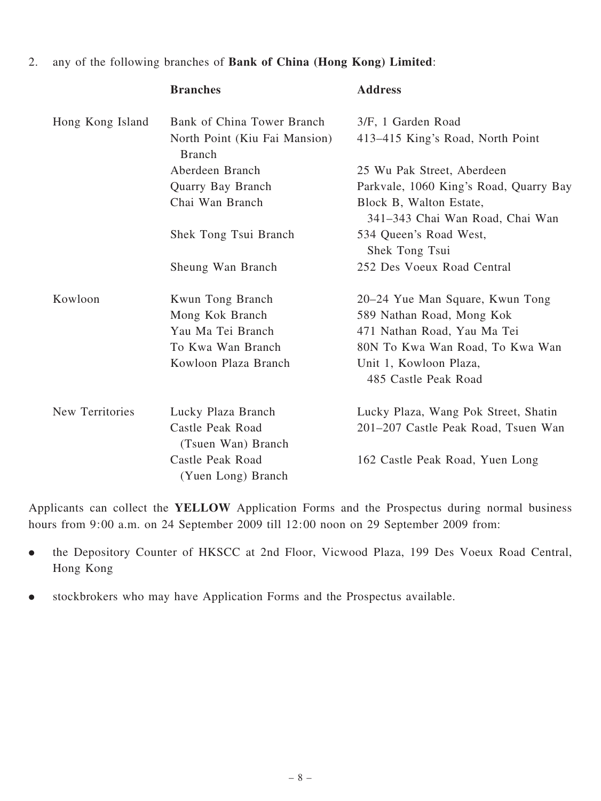#### 2. any of the following branches of Bank of China (Hong Kong) Limited:

|                  | <b>Branches</b>                                | <b>Address</b>                                             |
|------------------|------------------------------------------------|------------------------------------------------------------|
| Hong Kong Island | Bank of China Tower Branch                     | 3/F, 1 Garden Road                                         |
|                  | North Point (Kiu Fai Mansion)<br><b>Branch</b> | 413-415 King's Road, North Point                           |
|                  | Aberdeen Branch                                | 25 Wu Pak Street, Aberdeen                                 |
|                  | Quarry Bay Branch                              | Parkvale, 1060 King's Road, Quarry Bay                     |
|                  | Chai Wan Branch                                | Block B, Walton Estate,<br>341–343 Chai Wan Road, Chai Wan |
|                  | Shek Tong Tsui Branch                          | 534 Queen's Road West,<br>Shek Tong Tsui                   |
|                  | Sheung Wan Branch                              | 252 Des Voeux Road Central                                 |
| Kowloon          | Kwun Tong Branch                               | 20–24 Yue Man Square, Kwun Tong                            |
|                  | Mong Kok Branch                                | 589 Nathan Road, Mong Kok                                  |
|                  | Yau Ma Tei Branch                              | 471 Nathan Road, Yau Ma Tei                                |
|                  | To Kwa Wan Branch                              | 80N To Kwa Wan Road, To Kwa Wan                            |
|                  | Kowloon Plaza Branch                           | Unit 1, Kowloon Plaza,                                     |
|                  |                                                | 485 Castle Peak Road                                       |
| New Territories  | Lucky Plaza Branch                             | Lucky Plaza, Wang Pok Street, Shatin                       |
|                  | Castle Peak Road<br>(Tsuen Wan) Branch         | 201-207 Castle Peak Road, Tsuen Wan                        |
|                  | Castle Peak Road<br>(Yuen Long) Branch         | 162 Castle Peak Road, Yuen Long                            |

Applicants can collect the YELLOW Application Forms and the Prospectus during normal business hours from 9:00 a.m. on 24 September 2009 till 12:00 noon on 29 September 2009 from:

- . the Depository Counter of HKSCC at 2nd Floor, Vicwood Plaza, 199 Des Voeux Road Central, Hong Kong
- . stockbrokers who may have Application Forms and the Prospectus available.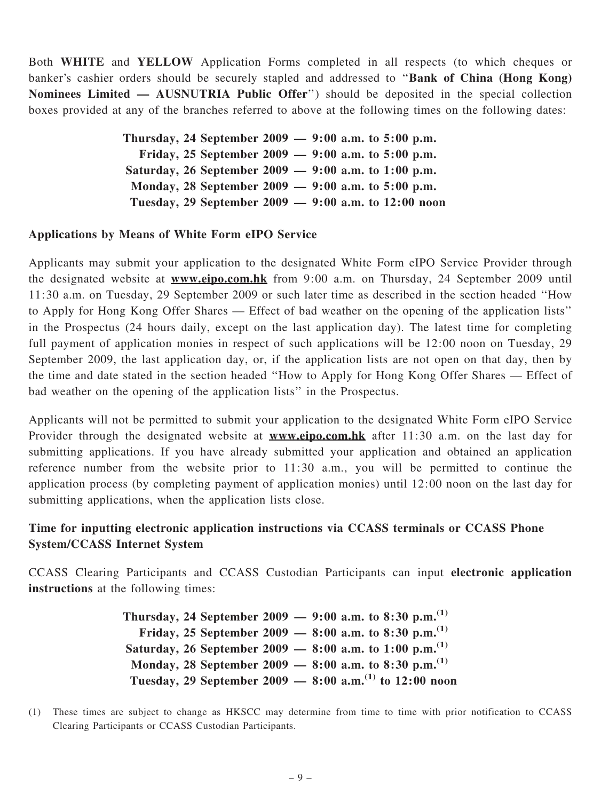Both WHITE and YELLOW Application Forms completed in all respects (to which cheques or banker's cashier orders should be securely stapled and addressed to "Bank of China (Hong Kong) Nominees Limited — AUSNUTRIA Public Offer'') should be deposited in the special collection boxes provided at any of the branches referred to above at the following times on the following dates:

> Thursday, 24 September 2009 — 9:00 a.m. to 5:00 p.m. Friday, 25 September 2009 — 9:00 a.m. to 5:00 p.m. Saturday, 26 September 2009 — 9:00 a.m. to 1:00 p.m. Monday, 28 September 2009 — 9:00 a.m. to 5:00 p.m. Tuesday, 29 September 2009 — 9:00 a.m. to 12:00 noon

#### Applications by Means of White Form eIPO Service

Applicants may submit your application to the designated White Form eIPO Service Provider through the designated website at **www.eipo.com.hk** from 9:00 a.m. on Thursday, 24 September 2009 until 11:30 a.m. on Tuesday, 29 September 2009 or such later time as described in the section headed ''How to Apply for Hong Kong Offer Shares — Effect of bad weather on the opening of the application lists'' in the Prospectus (24 hours daily, except on the last application day). The latest time for completing full payment of application monies in respect of such applications will be 12:00 noon on Tuesday, 29 September 2009, the last application day, or, if the application lists are not open on that day, then by the time and date stated in the section headed ''How to Apply for Hong Kong Offer Shares — Effect of bad weather on the opening of the application lists'' in the Prospectus.

Applicants will not be permitted to submit your application to the designated White Form eIPO Service Provider through the designated website at **www.eipo.com.hk** after 11:30 a.m. on the last day for submitting applications. If you have already submitted your application and obtained an application reference number from the website prior to 11:30 a.m., you will be permitted to continue the application process (by completing payment of application monies) until 12:00 noon on the last day for submitting applications, when the application lists close.

### Time for inputting electronic application instructions via CCASS terminals or CCASS Phone System/CCASS Internet System

CCASS Clearing Participants and CCASS Custodian Participants can input electronic application instructions at the following times:

> Thursday, 24 September 2009 — 9:00 a.m. to 8:30 p.m.<sup>(1)</sup> Friday, 25 September 2009 — 8:00 a.m. to 8:30 p.m.<sup>(1)</sup> Saturday, 26 September 2009 — 8:00 a.m. to 1:00 p.m.<sup>(1)</sup> Monday, 28 September 2009 — 8:00 a.m. to 8:30 p.m.<sup>(1)</sup> Tuesday, 29 September 2009 — 8:00 a.m.<sup>(1)</sup> to 12:00 noon

(1) These times are subject to change as HKSCC may determine from time to time with prior notification to CCASS Clearing Participants or CCASS Custodian Participants.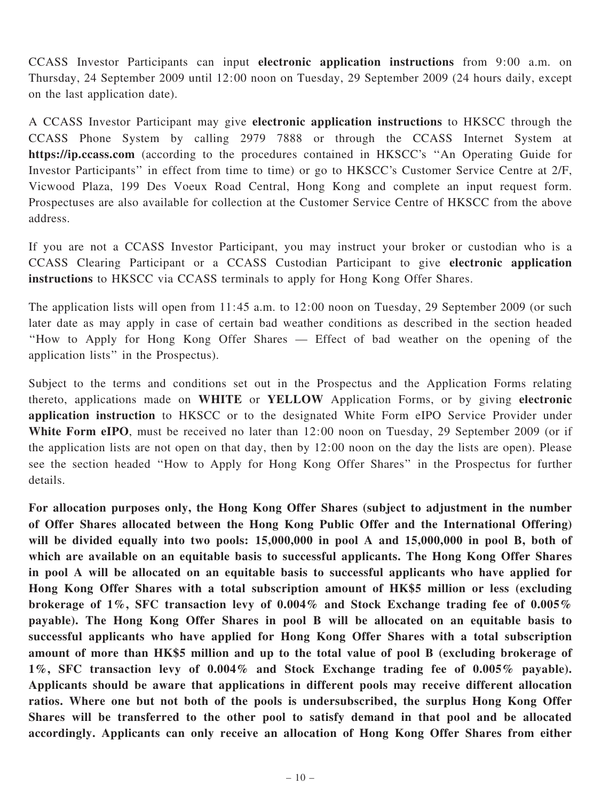CCASS Investor Participants can input electronic application instructions from 9:00 a.m. on Thursday, 24 September 2009 until 12:00 noon on Tuesday, 29 September 2009 (24 hours daily, except on the last application date).

A CCASS Investor Participant may give electronic application instructions to HKSCC through the CCASS Phone System by calling 2979 7888 or through the CCASS Internet System at https://ip.ccass.com (according to the procedures contained in HKSCC's ''An Operating Guide for Investor Participants'' in effect from time to time) or go to HKSCC's Customer Service Centre at 2/F, Vicwood Plaza, 199 Des Voeux Road Central, Hong Kong and complete an input request form. Prospectuses are also available for collection at the Customer Service Centre of HKSCC from the above address.

If you are not a CCASS Investor Participant, you may instruct your broker or custodian who is a CCASS Clearing Participant or a CCASS Custodian Participant to give electronic application instructions to HKSCC via CCASS terminals to apply for Hong Kong Offer Shares.

The application lists will open from 11:45 a.m. to 12:00 noon on Tuesday, 29 September 2009 (or such later date as may apply in case of certain bad weather conditions as described in the section headed ''How to Apply for Hong Kong Offer Shares — Effect of bad weather on the opening of the application lists'' in the Prospectus).

Subject to the terms and conditions set out in the Prospectus and the Application Forms relating thereto, applications made on WHITE or YELLOW Application Forms, or by giving electronic application instruction to HKSCC or to the designated White Form eIPO Service Provider under White Form eIPO, must be received no later than 12:00 noon on Tuesday, 29 September 2009 (or if the application lists are not open on that day, then by 12:00 noon on the day the lists are open). Please see the section headed ''How to Apply for Hong Kong Offer Shares'' in the Prospectus for further details.

For allocation purposes only, the Hong Kong Offer Shares (subject to adjustment in the number of Offer Shares allocated between the Hong Kong Public Offer and the International Offering) will be divided equally into two pools: 15,000,000 in pool A and 15,000,000 in pool B, both of which are available on an equitable basis to successful applicants. The Hong Kong Offer Shares in pool A will be allocated on an equitable basis to successful applicants who have applied for Hong Kong Offer Shares with a total subscription amount of HK\$5 million or less (excluding brokerage of 1%, SFC transaction levy of 0.004% and Stock Exchange trading fee of 0.005% payable). The Hong Kong Offer Shares in pool B will be allocated on an equitable basis to successful applicants who have applied for Hong Kong Offer Shares with a total subscription amount of more than HK\$5 million and up to the total value of pool B (excluding brokerage of 1%, SFC transaction levy of 0.004% and Stock Exchange trading fee of 0.005% payable). Applicants should be aware that applications in different pools may receive different allocation ratios. Where one but not both of the pools is undersubscribed, the surplus Hong Kong Offer Shares will be transferred to the other pool to satisfy demand in that pool and be allocated accordingly. Applicants can only receive an allocation of Hong Kong Offer Shares from either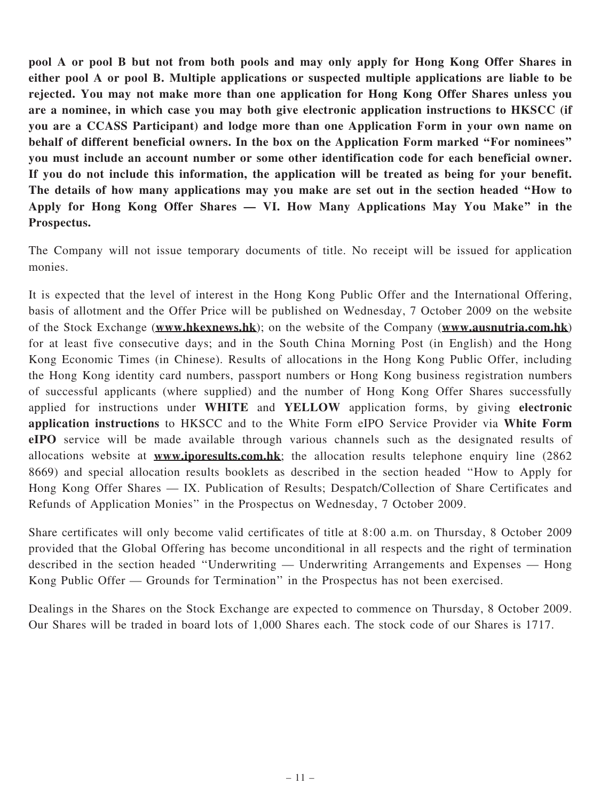pool A or pool B but not from both pools and may only apply for Hong Kong Offer Shares in either pool A or pool B. Multiple applications or suspected multiple applications are liable to be rejected. You may not make more than one application for Hong Kong Offer Shares unless you are a nominee, in which case you may both give electronic application instructions to HKSCC (if you are a CCASS Participant) and lodge more than one Application Form in your own name on behalf of different beneficial owners. In the box on the Application Form marked ''For nominees'' you must include an account number or some other identification code for each beneficial owner. If you do not include this information, the application will be treated as being for your benefit. The details of how many applications may you make are set out in the section headed ''How to Apply for Hong Kong Offer Shares — VI. How Many Applications May You Make'' in the Prospectus.

The Company will not issue temporary documents of title. No receipt will be issued for application monies.

It is expected that the level of interest in the Hong Kong Public Offer and the International Offering, basis of allotment and the Offer Price will be published on Wednesday, 7 October 2009 on the website of the Stock Exchange (www.hkexnews.hk); on the website of the Company (www.ausnutria.com.hk) for at least five consecutive days; and in the South China Morning Post (in English) and the Hong Kong Economic Times (in Chinese). Results of allocations in the Hong Kong Public Offer, including the Hong Kong identity card numbers, passport numbers or Hong Kong business registration numbers of successful applicants (where supplied) and the number of Hong Kong Offer Shares successfully applied for instructions under WHITE and YELLOW application forms, by giving electronic application instructions to HKSCC and to the White Form eIPO Service Provider via White Form eIPO service will be made available through various channels such as the designated results of allocations website at www.iporesults.com.hk; the allocation results telephone enquiry line (2862 8669) and special allocation results booklets as described in the section headed ''How to Apply for Hong Kong Offer Shares — IX. Publication of Results; Despatch/Collection of Share Certificates and Refunds of Application Monies'' in the Prospectus on Wednesday, 7 October 2009.

Share certificates will only become valid certificates of title at 8:00 a.m. on Thursday, 8 October 2009 provided that the Global Offering has become unconditional in all respects and the right of termination described in the section headed ''Underwriting — Underwriting Arrangements and Expenses — Hong Kong Public Offer — Grounds for Termination'' in the Prospectus has not been exercised.

Dealings in the Shares on the Stock Exchange are expected to commence on Thursday, 8 October 2009. Our Shares will be traded in board lots of 1,000 Shares each. The stock code of our Shares is 1717.